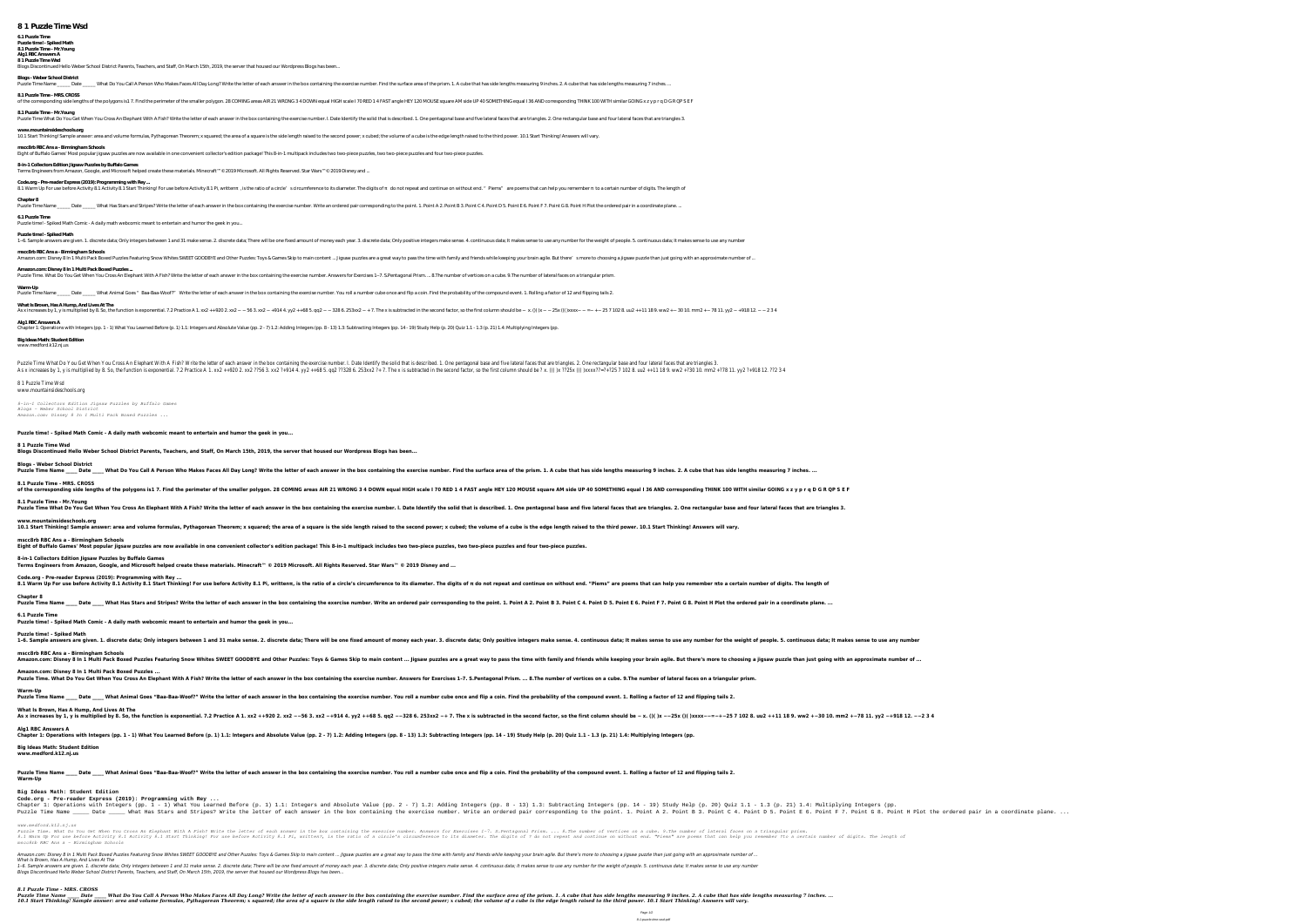## **6.1 Puzzle Time**

**Puzzle time! - Spiked Math 8.1 Puzzle Time - Mr.Young**

### **Alg1 RBC Answers A**

**8 1 Puzzle Time Wsd** Blogs Discontinued Hello Weber School District Parents, Teachers, and Staff, On March 15th, 2019, the server that housed our Wordpress Blogs has been...

## **Blogs - Weber School District**

Date \_\_\_\_\_ Date \_\_\_\_\_ What Do You Call A Person Who Makes Faces All Day Long? Write the letter of each answer in the box containing the exercise number. Find the surface area of the prism. 1. A cube that has side lengths m

## **8.1 Puzzle Time - MRS. CROSS**

of the corresponding side lengths of the polygons is1 7. Find the perimeter of the smaller polygon. 28 COMING areas AIR 21 WRONG 3 4 DOWN equal HIGH scale I 70 RED 1 4 FAST angle HEY 120 MOUSE square AM side UP 40 SOMETHIN **8.1 Puzzle Time - Mr.Young** Puzzle Time What Do You Get When You Cross An Elephant With A Fish? Write the letter of each answer in the box containing the exercise number. I. Date Identify the solid that is described. 1. One pentagonal base and five l

**8-in-1 Collectors Edition Jigsaw Puzzles by Buffalo Games** Terms Engineers from Amazon, Google, and Microsoft helped create these materials. Minecraft™© 2019 Microsoft. All Rights Reserved. Star Wars™© 2019 Disney and ..

**www.mountainsideschools.org**

**mscc8rb RBC Ans a - Birmingham Schools**

Eight of Buffalo Games' Most popular jigsaw puzzles are now available in one convenient collector's edition package! This 8-in-1 multipack includes two two-piece puzzles, two two-piece puzzles and four two-piece puzzles.

1–6. Sample answers are given. 1. discrete data; Only integers between 1 and 31 make sense. 2. discrete data; There will be one fixed amount of money each year. 3. discrete data; Only positive integers make sense. 4. conti **mscc8rb RBC Ans a - Birmingham Schools** Amazon.com: Disney 8 In 1 Multi Pack Boxed Puzzles Featuring Snow Whites SWEET GOODBYE and Other Puzzles: Toys & Games Skip to main content ... Jigsaw puzzles are a great way to pass the time with family and friends while **Amazon.com: Disney 8 In 1 Multi Pack Boxed Puzzles ...** Puzzle Time. What Do You Get When You Cross An Elephant With A Fish? Write the letter of each answer in the box containing the exercise number. Answers for Exercises 1-7. S.Pentagonal Prism. ... 8.The number of vertices on **Warm-Up**

Puzzle Time Name \_\_\_\_\_\_ Date \_\_\_\_\_\_ What Animal Goes " Baa-Baa-Woof?" Write the letter of each answer in the box containing the exercise number. You roll a number cube once and flip a coin. Find the probability of the comp

**Code.org - Pre-reader Express (2019): Programming with Rey ...** 8.1 Warm Up For use before Activity 8.1 Activity 8.1 Start Thinking! For use before Activity 8.1 Di, written, is the ratio of a circle' scircumference to its diameter. The digits of do not repeat and continue on without en **Chapter 8**

Puzzle Time Name \_\_\_\_\_\_ Date \_\_\_\_\_\_ What Has Stars and Stripes? Write the letter of each answer in the box containing the exercise number. Write an ordered pair corresponding to the point. 1. Point B 3. Point C 4. Point C

# **6.1 Puzzle Time**

Puzzle time! - Spiked Math Comic - A daily math webcomic meant to entertain and humor the geek in you...

### **Puzzle time! - Spiked Math**

**Code.org - Pre-reader Express (2019): Programming with Rey ...** 8.1 Warm Up For use before Activity 8.1 Activity 8.1 Start Thinking! For use before Activity 8.1 Pi, writtenπ, is the ratio of a circle's circumference to its diameter. The digits of π do not repeat and continue on witho **Chapter 8** Puzzle Time Name Date What Has Stars and Stripes? Write the letter of each answer in the box containing the exercise number. Write an ordered pair corresponding to the point. 1. Point B 3. Point B 3. Point B 5. Point E 6.

**What Is Brown, Has A Hump, And Lives At The** As x increases by 1, y is multiplied by 8. So, the function is exponential. 7.2 Practice A 1. xx2 + + 920 2. xx2 - - 56 3. xx2 - + 914 4. yy2 + + 68 5. qq2 - - 25x ()()xxxx - - = - + - 25 7 102 8. uu2 + + 11 18 9. ww2 + - **Alg1 RBC Answers A**

**Big Ideas Math: Student Edition**

### www.medford.k12.nj.us

Puzzle Time What Do You Get When You Cross An Elephant With A Fish? Write the letter of each answer in the box containing the exercise number. I. Date Identify the solid that is described. 1. One pentagonal base and five l As x increases by 1, y is multiplied by 8. So, the function is exponential. 7.2 Practice A 1. xx2 ++920 2. xx2 ??56 3. xx2 ?+914 4. yy2 ++68 5. qq2 ??328 6. 253xx2 ?+ 7. The x is subtracted in the second factor, so the fir

Date What Animal Goes "Baa-Baa-Woof?" Write the letter of each answer in the box containing the exercise number. You roll a number cube once and flip a coin. Find the probability of the compound event. 1. Rolling a factor **Warm-Up**

### 8 1 Puzzle Time Wsd www.mountainsideschools.org

*8-in-1 Collectors Edition Jigsaw Puzzles by Buffalo Games*

*Blogs - Weber School District*

*Amazon.com: Disney 8 In 1 Multi Pack Boxed Puzzles ...*

**Puzzle time! - Spiked Math Comic - A daily math webcomic meant to entertain and humor the geek in you...**

### **8 1 Puzzle Time Wsd**

**Blogs Discontinued Hello Weber School District Parents, Teachers, and Staff, On March 15th, 2019, the server that housed our Wordpress Blogs has been...**

# **Blogs - Weber School District**

Date \_\_\_\_ Date \_\_\_\_ What Do You Call A Person Who Makes Faces All Day Long? Write the letter of each answer in the box containing the exercise number. Find the surface area of the prism. 1. A cube that has side lengths mea **8.1 Puzzle Time - MRS. CROSS** of the corresponding side lengths of the polygons is1 7. Find the perimeter of the smaller polygon. 28 COMING areas AIR 21 WRONG 3 4 DOWN equal HIGH scale I 70 RED 1 4 FAST angle HEY 120 MOUSE square AM side UP 40 SOMETHIN **8.1 Puzzle Time - Mr.Young** Puzzle Time What Do You Get When You Cross An Elephant With A Fish? Write the letter of each answer in the box containing the exercise number. I. Date Identify the solid that is described. 1. One pentagonal base and five l **www.mountainsideschools.org** 10.1 Start Thinking! Sample answer: area and volume formulas, Pythagorean Theorem; x squared; the area of a squared; the area of a square is the side length raised to the second power; x cubed; the volume of a cube is the **mscc8rb RBC Ans a - Birmingham Schools** Eight of Buffalo Games' Most popular jigsaw puzzles are now available in one convenient collector's edition package! This 8-in-1 multipack includes two two-piece puzzles, two two-piece puzzles and four two-piece puzzles.

Puzzle Time. What Do You Get When You Cross An Elephant With A Fish? Write the letter of each answer in the box containing the exercises 1-7. S.Pentagonal Prism. ... 8.The number of vertices on a cube. 9.The number of late 8.1 Warm Up For use before Activity 8.1 Activity 8.1 Start Thinking! For use before Activity 8.1 Pi, written?, is the ratio of a circle's circumference to its diameter. The digits of ? do not repeat and continue on without *mscc8rb RBC Ans a - Birmingham Schools*

Amazon.com: Disney 8 In 1 Multi Pack Boxed Puzzles Featuring Snow Whites SWEET GOODBYE and Other Puzzles: Toys & Games Skip to main content ... Jigsaw puzzles are a great way to pass the time with family and friends while *What Is Brown, Has A Hump, And Lives At The* 1-6. Sample answers are given. 1. discrete data; Only integers between 1 and 31 make sense. 2. discrete data; There will be one fixed amount of money each year. 3. discrete data; Unakes sense to use any number for the weig *Blogs Discontinued Hello Weber School District Parents, Teachers, and Staff, On March 15th, 2019, the server that housed our Wordpress Blogs has been...*

**8-in-1 Collectors Edition Jigsaw Puzzles by Buffalo Games**

Terms Engineers from Amazon, Google, and Microsoft helped create these materials. Minecraft™ © 2019 Microsoft. All Rights Reserved. Star Wars™ © 2019 Disney and ...

**6.1 Puzzle Time**

**Puzzle time! - Spiked Math Comic - A daily math webcomic meant to entertain and humor the geek in you...**

# **Puzzle time! - Spiked Math**

1-6. Sample answers are given. 1. discrete data; Only integers between 1 and 31 make sense. 2. discrete data; There will be one fixed amount of money each year. 3. discrete data; It makes sense to use any number for the we **mscc8rb RBC Ans a - Birmingham Schools** Amazon.com: Disney 8 In 1 Multi Pack Boxed Puzzles Featuring Snow Whites SWEET GOODBYE and Other Puzzles: Toys & Games Skip to main content ... Jigsaw puzzles are a great way to pass the time with family and friends while **Amazon.com: Disney 8 In 1 Multi Pack Boxed Puzzles ...** Puzzle Time. What Do You Get When You Cross An Elephant With A Fish? Write the letter of each answer in the box containing the exercises 1-7. S.Pentagonal Prism. ... 8.The number of vertices on a cube. 9.The number of late **Warm-Up** Puzzle Time Name \_\_\_\_ Date \_\_\_\_ What Animal Goes "Baa-Baa-Woof?" Write the letter of each answer in the box containing the exercise number. You roll a number cube once and flip a coin. Find the probability of the compound **What Is Brown, Has A Hump, And Lives At The** As x increases by 1, y is multiplied by 8. So, the function is exponential. 7.2 Practice A 1. xx2 ++920 2. xx2 ++920 2. xx2 ++920 2. xx2 -+914 4. yy2 ++68 5. qq2 --328 6. 253xx2 -+ 7. The x is subtracted in the second fact **Alg1 RBC Answers A** Chapter 1: Operations with Integers (pp. 1 - 1) What You Learned Before (p. 1) 1.1: Integers and Absolute Value (pp. 2 - 7) 1.2: Adding Integers (pp. 8 - 13) 1.3: Subtracting Integers (pp. 14 - 19) Study Help (p. 20) Quiz

**Big Ideas Math: Student Edition**

### **www.medford.k12.nj.us**

### **Big Ideas Math: Student Edition**

**Code.org - Pre-reader Express (2019): Programming with Rey ...**

Chapter 1: Operations with Integers (pp. 1 - 1) What You Learned Before (p. 1) 1.1: Integers and Absolute Value (pp. 2 - 7) 1.2: Adding Integers (pp. 2 - 7) 1.2: Adding Integers (pp. 2 - 7) 1.2: Adding Integers (pp. 2 - 7) Puzzle Time Name \_\_\_\_\_\_ Date \_\_\_\_\_\_ What Has Stars and Stripes? Write the letter of each answer in the box containing the box containing the exercise number. Write an ordered pair B 3. Point B 3. Point B 3. Point B 3. Poin

*www.medford.k12.nj.us*

# *8.1 Puzzle Time - MRS. CROSS*

Puzzle Time Name Date What Do You Call A Person Who Makes Faces All Day Long? Write the letter of each answer in the box containing the exercise number. Find the surface area of the prism. 1. A cube that has side lengths m 10.1 Start Thinking! Sample answer: area and volume formulas, Pythagorean Theorem; x squared; the area of a squared; the area of a square is the side length raised to the second power; x cubed; the volume of a cube is the

10.1 Start Thinking! Sample answer: area and volume formulas, Pythagorean Theorem; x squared; the area of a square is the side length raised to the second power; x cubed; the volume of a cube is the edge length raised to t

Chapter 1: Operations with Integers (pp. 1 - 1) What You Learned Before (p. 1) 1.1: Integers and Absolute Value (pp. 2 - 7) 1.2: Adding Integers (pp. 8 - 13) 1.3: Subtracting Integers (pp. 14 - 19) Study Help (p. 20) Quiz